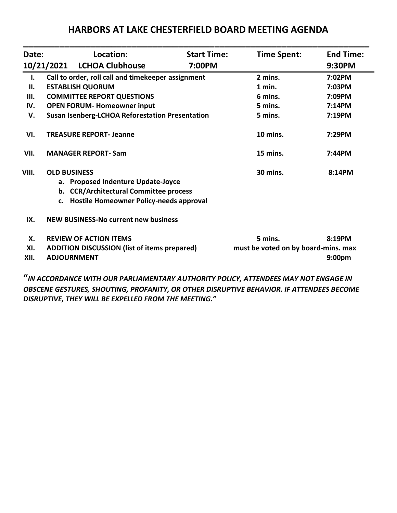# **HARBORS AT LAKE CHESTERFIELD BOARD MEETING AGENDA**

| Date: |                                                                                            | Location:                                              | <b>Start Time:</b> | <b>Time Spent:</b> | <b>End Time:</b> |
|-------|--------------------------------------------------------------------------------------------|--------------------------------------------------------|--------------------|--------------------|------------------|
|       | 10/21/2021                                                                                 | <b>LCHOA Clubhouse</b>                                 | 7:00PM             |                    | 9:30PM           |
| Ι.    | Call to order, roll call and timekeeper assignment                                         |                                                        |                    | 2 mins.            | 7:02PM           |
| Ш.    | <b>ESTABLISH QUORUM</b>                                                                    |                                                        |                    | 1 min.             | 7:03PM           |
| Ш.    |                                                                                            | <b>COMMITTEE REPORT QUESTIONS</b>                      |                    | 6 mins.            | 7:09PM           |
| IV.   |                                                                                            | <b>OPEN FORUM- Homeowner input</b>                     |                    | 5 mins.            | 7:14PM           |
| V.    |                                                                                            | <b>Susan Isenberg-LCHOA Reforestation Presentation</b> |                    | 5 mins.            | 7:19PM           |
| VI.   |                                                                                            | <b>TREASURE REPORT-Jeanne</b>                          |                    | 10 mins.           | 7:29PM           |
| VII.  |                                                                                            | <b>MANAGER REPORT-Sam</b>                              |                    | 15 mins.           | 7:44PM           |
| VIII. | <b>OLD BUSINESS</b>                                                                        |                                                        |                    | 30 mins.           | 8:14PM           |
|       | a. Proposed Indenture Update-Joyce                                                         |                                                        |                    |                    |                  |
|       | <b>CCR/Architectural Committee process</b><br>b.                                           |                                                        |                    |                    |                  |
|       | Hostile Homeowner Policy-needs approval<br>$c_{\cdot}$                                     |                                                        |                    |                    |                  |
| IX.   |                                                                                            | <b>NEW BUSINESS-No current new business</b>            |                    |                    |                  |
| Х.    |                                                                                            | <b>REVIEW OF ACTION ITEMS</b>                          |                    | 5 mins.            | 8:19PM           |
| XI.   | <b>ADDITION DISCUSSION (list of items prepared)</b><br>must be voted on by board-mins. max |                                                        |                    |                    |                  |
| XII.  |                                                                                            | <b>ADJOURNMENT</b>                                     |                    |                    | $9:00p$ m        |
|       |                                                                                            |                                                        |                    |                    |                  |

**"***IN ACCORDANCE WITH OUR PARLIAMENTARY AUTHORITY POLICY, ATTENDEES MAY NOT ENGAGE IN OBSCENE GESTURES, SHOUTING, PROFANITY, OR OTHER DISRUPTIVE BEHAVIOR. IF ATTENDEES BECOME DISRUPTIVE, THEY WILL BE EXPELLED FROM THE MEETING."*